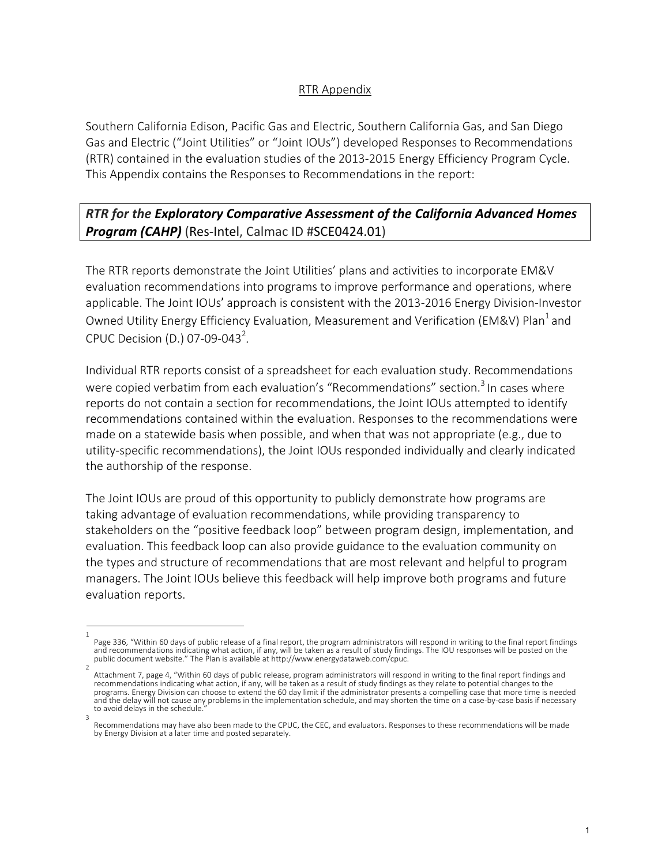## RTR Appendix

Southern California Edison, Pacific Gas and Electric, Southern California Gas, and San Diego Gas and Electric ("Joint Utilities" or "Joint IOUs") developed Responses to Recommendations (RTR) contained in the evaluation studies of the 2013-2015 Energy Efficiency Program Cycle. This Appendix contains the Responses to Recommendations in the report:

## *RTR for the Exploratory Comparative Assessment of the California Advanced Homes*  **Program (CAHP)** (Res-Intel, Calmac ID #SCE0424.01)

The RTR reports demonstrate the Joint Utilities' plans and activities to incorporate EM&V evaluation recommendations into programs to improve performance and operations, where applicable. The Joint IOUs' approach is consistent with the 2013-2016 Energy Division-Investor Owned Utility Energy Efficiency Evaluation, Measurement and Verification (EM&V) Plan<sup>1</sup> and CPUC Decision (D.) 07-09-043<sup>2</sup>.

Individual RTR reports consist of a spreadsheet for each evaluation study. Recommendations were copied verbatim from each evaluation's "Recommendations" section.<sup>3</sup> In cases where reports do not contain a section for recommendations, the Joint IOUs attempted to identify recommendations contained within the evaluation. Responses to the recommendations were made on a statewide basis when possible, and when that was not appropriate (e.g., due to utility-specific recommendations), the Joint IOUs responded individually and clearly indicated the authorship of the response.

The Joint IOUs are proud of this opportunity to publicly demonstrate how programs are taking advantage of evaluation recommendations, while providing transparency to stakeholders on the "positive feedback loop" between program design, implementation, and evaluation. This feedback loop can also provide guidance to the evaluation community on the types and structure of recommendations that are most relevant and helpful to program managers. The Joint IOUs believe this feedback will help improve both programs and future evaluation reports.

<sup>1</sup>  Page 336, "Within 60 days of public release of a final report, the program administrators will respond in writing to the final report findings and recommendations indicating what action, if any, will be taken as a result of study findings. The IOU responses will be posted on the public document website." The Plan is available at http://www.energydataweb.com/cpuc.

Attachment 7, page 4, "Within 60 days of public release, program administrators will respond in writing to the final report findings and recommendations indicating what action, if any, will be taken as a result of study findings as they relate to potential changes to the programs. Energy Division can choose to extend the 60 day limit if the administrator presents a compelling case that more time is needed and the delay will not cause any problems in the implementation schedule, and may shorten the time on a case-by-case basis if necessary to avoid delays in the schedule. 3

Recommendations may have also been made to the CPUC, the CEC, and evaluators. Responses to these recommendations will be made by Energy Division at a later time and posted separately.